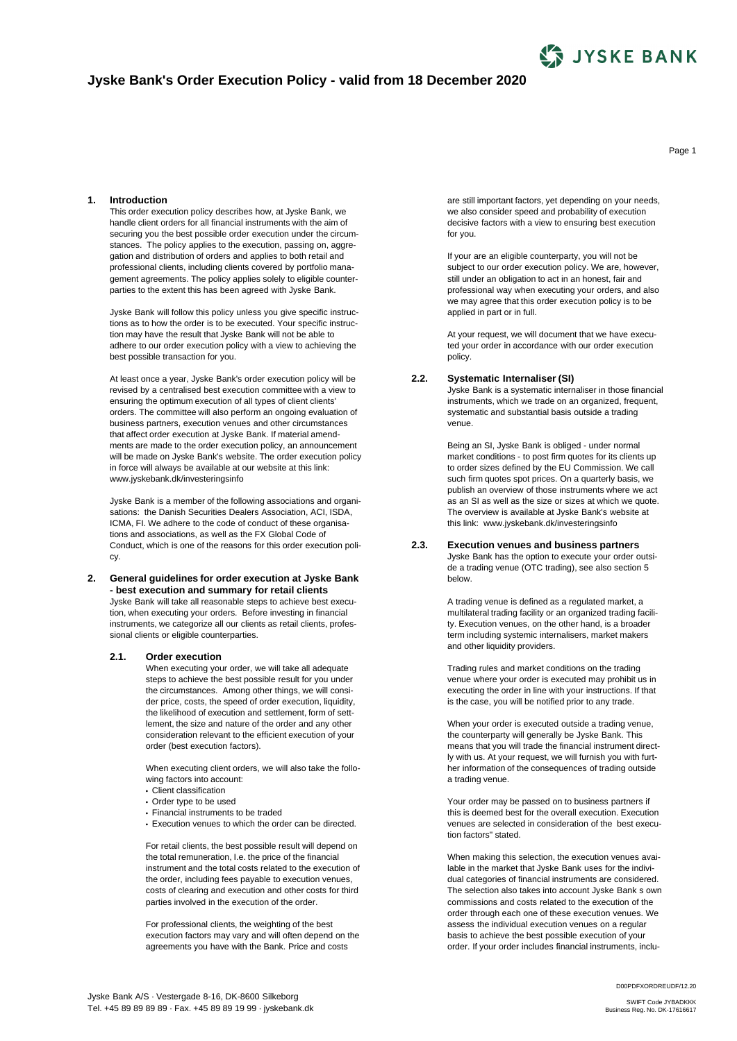

# **Jyske Bank's Order Execution Policy - valid from 18 December 2020**

**1. Introduction**

This order execution policy describes how, at Jyske Bank, we handle client orders for all financial instruments with the aim of securing you the best possible order execution under the circumstances. The policy applies to the execution, passing on, aggregation and distribution of orders and applies to both retail and professional clients, including clients covered by portfolio management agreements. The policy applies solely to eligible counterparties to the extent this has been agreed with Jyske Bank.

Jyske Bank will follow this policy unless you give specific instructions as to how the order is to be executed. Your specific instruction may have the result that Jyske Bank will not be able to adhere to our order execution policy with a view to achieving the best possible transaction for you.

At least once a year, Jyske Bank's order execution policy will be revised by a centralised best execution committee with a view to ensuring the optimum execution of all types of client clients' orders. The committee will also perform an ongoing evaluation of business partners, execution venues and other circumstances that affect order execution at Jyske Bank. If material amendments are made to the order execution policy, an announcement will be made on Jyske Bank's website. The order execution policy in force will always be available at our website at this link: www.jyskebank.dk/investeringsinfo

Jyske Bank is a member of the following associations and organisations: the Danish Securities Dealers Association, ACI, ISDA, ICMA, FI. We adhere to the code of conduct of these organisations and associations, as well as the FX Global Code of Conduct, which is one of the reasons for this order execution policy.

#### **2. General guidelines for order execution at Jyske Bank - best execution and summary for retail clients** Jyske Bank will take all reasonable steps to achieve best execution, when executing your orders. Before investing in financial instruments, we categorize all our clients as retail clients, professional clients or eligible counterparties.

### **2.1. Order execution**

When executing your order, we will take all adequate steps to achieve the best possible result for you under the circumstances. Among other things, we will consider price, costs, the speed of order execution, liquidity, the likelihood of execution and settlement, form of settlement, the size and nature of the order and any other consideration relevant to the efficient execution of your order (best execution factors).

When executing client orders, we will also take the following factors into account:

- **•** Client classification
- **•** Order type to be used
- **•** Financial instruments to be traded
- **•** Execution venues to which the order can be directed.

For retail clients, the best possible result will depend on the total remuneration, I.e. the price of the financial instrument and the total costs related to the execution of the order, including fees payable to execution venues, costs of clearing and execution and other costs for third parties involved in the execution of the order.

For professional clients, the weighting of the best execution factors may vary and will often depend on the agreements you have with the Bank. Price and costs

are still important factors, yet depending on your needs, we also consider speed and probability of execution decisive factors with a view to ensuring best execution for you.

If your are an eligible counterparty, you will not be subject to our order execution policy. We are, however, still under an obligation to act in an honest, fair and professional way when executing your orders, and also we may agree that this order execution policy is to be applied in part or in full.

At your request, we will document that we have executed your order in accordance with our order execution policy.

#### **2.2. Systematic Internaliser (SI)**

Jyske Bank is a systematic internaliser in those financial instruments, which we trade on an organized, frequent, systematic and substantial basis outside a trading venue.

Being an SI, Jyske Bank is obliged - under normal market conditions - to post firm quotes for its clients up to order sizes defined by the EU Commission. We call such firm quotes spot prices. On a quarterly basis, we publish an overview of those instruments where we act as an SI as well as the size or sizes at which we quote. The overview is available at Jyske Bank's website at this link: www.jyskebank.dk/investeringsinfo

#### **2.3. Execution venues and business partners**

Jyske Bank has the option to execute your order outside a trading venue (OTC trading), see also section 5 below.

A trading venue is defined as a regulated market, a multilateral trading facility or an organized trading facility. Execution venues, on the other hand, is a broader term including systemic internalisers, market makers and other liquidity providers.

Trading rules and market conditions on the trading venue where your order is executed may prohibit us in executing the order in line with your instructions. If that is the case, you will be notified prior to any trade.

When your order is executed outside a trading venue, the counterparty will generally be Jyske Bank. This means that you will trade the financial instrument directly with us. At your request, we will furnish you with further information of the consequences of trading outside a trading venue.

Your order may be passed on to business partners if this is deemed best for the overall execution. Execution venues are selected in consideration of the best execution factors" stated.

When making this selection, the execution venues available in the market that Jyske Bank uses for the individual categories of financial instruments are considered. The selection also takes into account Jyske Bank s own commissions and costs related to the execution of the order through each one of these execution venues. We assess the individual execution venues on a regular basis to achieve the best possible execution of your order. If your order includes financial instruments, inclu-

Jyske Bank A/S · Vestergade 8-16, DK-8600 Silkeborg Tel. +45 89 89 89 89 · Fax. +45 89 89 19 99 · jyskebank.dk Page 1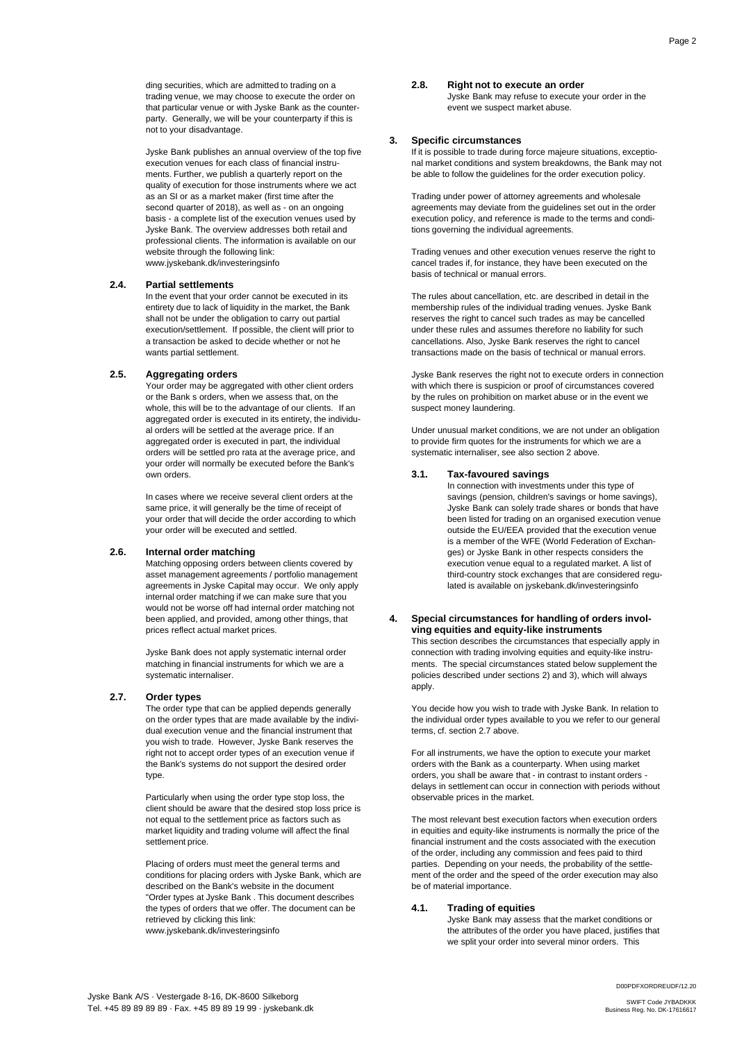ding securities, which are admitted to trading on a trading venue, we may choose to execute the order on that particular venue or with Jyske Bank as the counterparty. Generally, we will be your counterparty if this is not to your disadvantage.

Jyske Bank publishes an annual overview of the top five execution venues for each class of financial instruments. Further, we publish a quarterly report on the quality of execution for those instruments where we act as an SI or as a market maker (first time after the second quarter of 2018), as well as - on an ongoing basis - a complete list of the execution venues used by Jyske Bank. The overview addresses both retail and professional clients. The information is available on our website through the following link: www.jyskebank.dk/investeringsinfo

#### **2.4. Partial settlements**

In the event that your order cannot be executed in its entirety due to lack of liquidity in the market, the Bank shall not be under the obligation to carry out partial execution/settlement. If possible, the client will prior to a transaction be asked to decide whether or not he wants partial settlement.

### **2.5. Aggregating orders**

Your order may be aggregated with other client orders or the Bank s orders, when we assess that, on the whole, this will be to the advantage of our clients. If an aggregated order is executed in its entirety, the individual orders will be settled at the average price. If an aggregated order is executed in part, the individual orders will be settled pro rata at the average price, and your order will normally be executed before the Bank's own orders.

In cases where we receive several client orders at the same price, it will generally be the time of receipt of your order that will decide the order according to which your order will be executed and settled.

# **2.6. Internal order matching**

Matching opposing orders between clients covered by asset management agreements / portfolio management agreements in Jyske Capital may occur. We only apply internal order matching if we can make sure that you would not be worse off had internal order matching not been applied, and provided, among other things, that prices reflect actual market prices.

Jyske Bank does not apply systematic internal order matching in financial instruments for which we are a systematic internaliser.

### **2.7. Order types**

The order type that can be applied depends generally on the order types that are made available by the individual execution venue and the financial instrument that you wish to trade. However, Jyske Bank reserves the right not to accept order types of an execution venue if the Bank's systems do not support the desired order type.

Particularly when using the order type stop loss, the client should be aware that the desired stop loss price is not equal to the settlement price as factors such as market liquidity and trading volume will affect the final settlement price.

Placing of orders must meet the general terms and conditions for placing orders with Jyske Bank, which are described on the Bank's website in the document "Order types at Jyske Bank . This document describes the types of orders that we offer. The document can be retrieved by clicking this link: www.jyskebank.dk/investeringsinfo

#### **2.8. Right not to execute an order**

Jyske Bank may refuse to execute your order in the event we suspect market abuse.

### **3. Specific circumstances**

If it is possible to trade during force majeure situations, exceptional market conditions and system breakdowns, the Bank may not be able to follow the guidelines for the order execution policy.

Trading under power of attorney agreements and wholesale agreements may deviate from the guidelines set out in the order execution policy, and reference is made to the terms and conditions governing the individual agreements.

Trading venues and other execution venues reserve the right to cancel trades if, for instance, they have been executed on the basis of technical or manual errors.

The rules about cancellation, etc. are described in detail in the membership rules of the individual trading venues. Jyske Bank reserves the right to cancel such trades as may be cancelled under these rules and assumes therefore no liability for such cancellations. Also, Jyske Bank reserves the right to cancel transactions made on the basis of technical or manual errors.

Jyske Bank reserves the right not to execute orders in connection with which there is suspicion or proof of circumstances covered by the rules on prohibition on market abuse or in the event we suspect money laundering.

Under unusual market conditions, we are not under an obligation to provide firm quotes for the instruments for which we are a systematic internaliser, see also section 2 above.

#### **3.1. Tax-favoured savings**

In connection with investments under this type of savings (pension, children's savings or home savings). Jyske Bank can solely trade shares or bonds that have been listed for trading on an organised execution venue outside the EU/EEA provided that the execution venue is a member of the WFE (World Federation of Exchanges) or Jyske Bank in other respects considers the execution venue equal to a regulated market. A list of third-country stock exchanges that are considered regulated is available on jyskebank.dk/investeringsinfo

### **4. Special circumstances for handling of orders involving equities and equity-like instruments**

This section describes the circumstances that especially apply in connection with trading involving equities and equity-like instruments. The special circumstances stated below supplement the policies described under sections 2) and 3), which will always apply.

You decide how you wish to trade with Jyske Bank. In relation to the individual order types available to you we refer to our general terms, cf. section 2.7 above.

For all instruments, we have the option to execute your market orders with the Bank as a counterparty. When using market orders, you shall be aware that - in contrast to instant orders delays in settlement can occur in connection with periods without observable prices in the market.

The most relevant best execution factors when execution orders in equities and equity-like instruments is normally the price of the financial instrument and the costs associated with the execution of the order, including any commission and fees paid to third parties. Depending on your needs, the probability of the settlement of the order and the speed of the order execution may also be of material importance.

### **4.1. Trading of equities**

Jyske Bank may assess that the market conditions or the attributes of the order you have placed, justifies that we split your order into several minor orders. This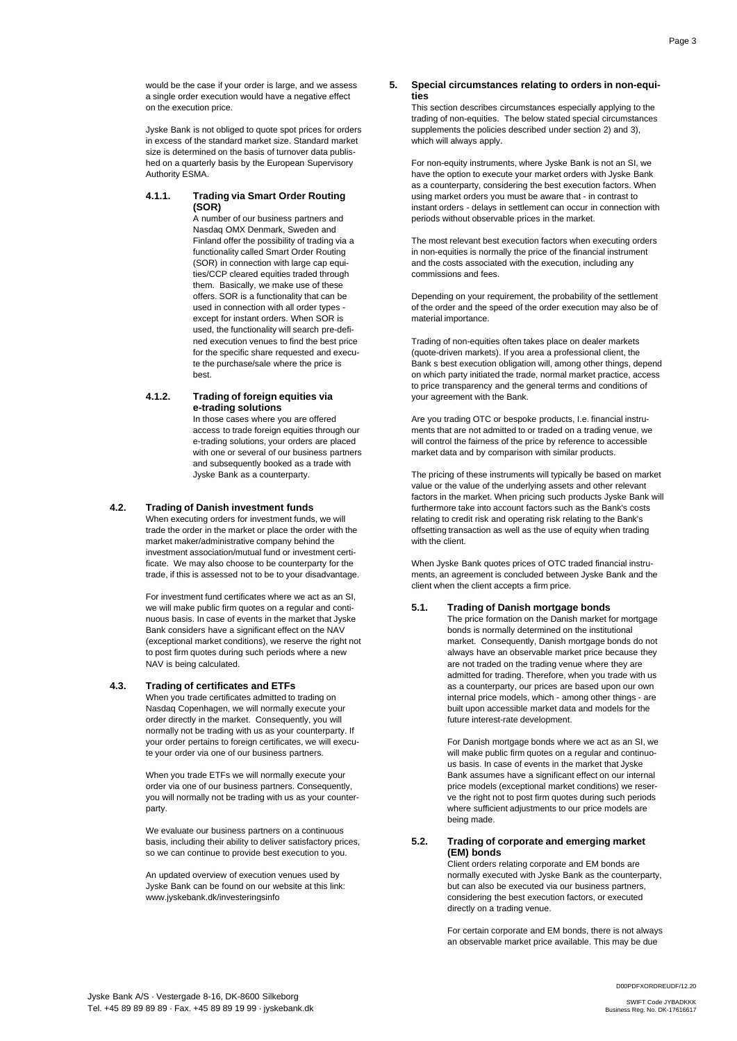would be the case if your order is large, and we assess a single order execution would have a negative effect on the execution price.

Jyske Bank is not obliged to quote spot prices for orders in excess of the standard market size. Standard market size is determined on the basis of turnover data published on a quarterly basis by the European Supervisory Authority ESMA.

### **4.1.1. Trading via Smart Order Routing (SOR)**

A number of our business partners and Nasdaq OMX Denmark, Sweden and Finland offer the possibility of trading via a functionality called Smart Order Routing (SOR) in connection with large cap equities/CCP cleared equities traded through them. Basically, we make use of these offers. SOR is a functionality that can be used in connection with all order types except for instant orders. When SOR is used, the functionality will search pre-defined execution venues to find the best price for the specific share requested and execute the purchase/sale where the price is best.

### **4.1.2. Trading of foreign equities via e-trading solutions**

In those cases where you are offered access to trade foreign equities through our e-trading solutions, your orders are placed with one or several of our business partners and subsequently booked as a trade with Jyske Bank as a counterparty.

### **4.2. Trading of Danish investment funds**

When executing orders for investment funds, we will trade the order in the market or place the order with the market maker/administrative company behind the investment association/mutual fund or investment certificate. We may also choose to be counterparty for the trade, if this is assessed not to be to your disadvantage.

For investment fund certificates where we act as an SI, we will make public firm quotes on a regular and continuous basis. In case of events in the market that Jyske Bank considers have a significant effect on the NAV (exceptional market conditions), we reserve the right not to post firm quotes during such periods where a new NAV is being calculated.

#### **4.3. Trading of certificates and ETFs**

When you trade certificates admitted to trading on Nasdaq Copenhagen, we will normally execute your order directly in the market. Consequently, you will normally not be trading with us as your counterparty. If your order pertains to foreign certificates, we will execute your order via one of our business partners.

When you trade ETFs we will normally execute your order via one of our business partners. Consequently, you will normally not be trading with us as your counterparty.

We evaluate our business partners on a continuous basis, including their ability to deliver satisfactory prices, so we can continue to provide best execution to you.

An updated overview of execution venues used by Jyske Bank can be found on our website at this link: www.jyskebank.dk/investeringsinfo

#### **5. Special circumstances relating to orders in non-equities**

This section describes circumstances especially applying to the trading of non-equities. The below stated special circumstances supplements the policies described under section 2) and 3), which will always apply.

For non-equity instruments, where Jyske Bank is not an SI, we have the option to execute your market orders with Jyske Bank as a counterparty, considering the best execution factors. When using market orders you must be aware that - in contrast to instant orders - delays in settlement can occur in connection with periods without observable prices in the market.

The most relevant best execution factors when executing orders in non-equities is normally the price of the financial instrument and the costs associated with the execution, including any commissions and fees.

Depending on your requirement, the probability of the settlement of the order and the speed of the order execution may also be of material importance.

Trading of non-equities often takes place on dealer markets (quote-driven markets). If you area a professional client, the Bank s best execution obligation will, among other things, depend on which party initiated the trade, normal market practice, access to price transparency and the general terms and conditions of your agreement with the Bank.

Are you trading OTC or bespoke products, I.e. financial instruments that are not admitted to or traded on a trading venue, we will control the fairness of the price by reference to accessible market data and by comparison with similar products.

The pricing of these instruments will typically be based on market value or the value of the underlying assets and other relevant factors in the market. When pricing such products Jyske Bank will furthermore take into account factors such as the Bank's costs relating to credit risk and operating risk relating to the Bank's offsetting transaction as well as the use of equity when trading with the client.

When Jyske Bank quotes prices of OTC traded financial instruments, an agreement is concluded between Jyske Bank and the client when the client accepts a firm price.

# **5.1. Trading of Danish mortgage bonds**

The price formation on the Danish market for mortgage bonds is normally determined on the institutional market. Consequently, Danish mortgage bonds do not always have an observable market price because they are not traded on the trading venue where they are admitted for trading. Therefore, when you trade with us as a counterparty, our prices are based upon our own internal price models, which - among other things - are built upon accessible market data and models for the future interest-rate development.

For Danish mortgage bonds where we act as an SI, we will make public firm quotes on a regular and continuous basis. In case of events in the market that Jyske Bank assumes have a significant effect on our internal price models (exceptional market conditions) we reserve the right not to post firm quotes during such periods where sufficient adjustments to our price models are being made.

#### **5.2. Trading of corporate and emerging market (EM) bonds**

Client orders relating corporate and EM bonds are normally executed with Jyske Bank as the counterparty, but can also be executed via our business partners, considering the best execution factors, or executed directly on a trading venue.

For certain corporate and EM bonds, there is not always an observable market price available. This may be due